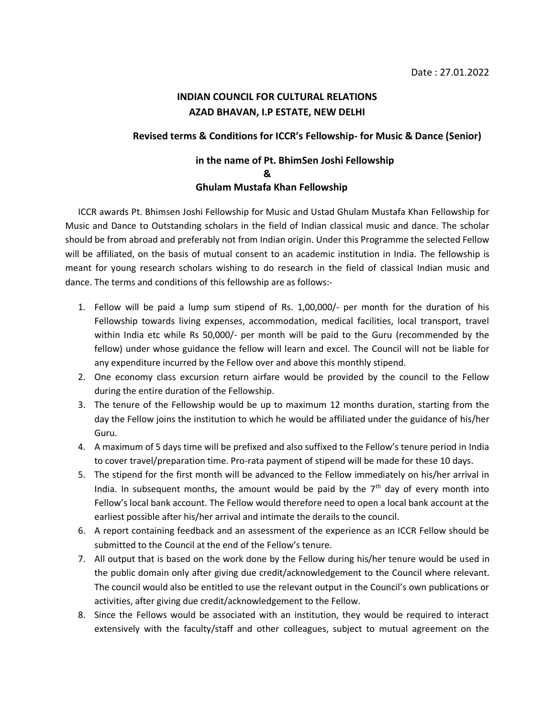## **INDIAN COUNCIL FOR CULTURAL RELATIONS AZAD BHAVAN, I.P ESTATE, NEW DELHI**

## **Revised terms & Conditions for ICCR's Fellowship- for Music & Dance (Senior)**

## **in the name of Pt. BhimSen Joshi Fellowship & Ghulam Mustafa Khan Fellowship**

ICCR awards Pt. Bhimsen Joshi Fellowship for Music and Ustad Ghulam Mustafa Khan Fellowship for Music and Dance to Outstanding scholars in the field of Indian classical music and dance. The scholar should be from abroad and preferably not from Indian origin. Under this Programme the selected Fellow will be affiliated, on the basis of mutual consent to an academic institution in India. The fellowship is meant for young research scholars wishing to do research in the field of classical Indian music and dance. The terms and conditions of this fellowship are as follows:-

- 1. Fellow will be paid a lump sum stipend of Rs. 1,00,000/- per month for the duration of his Fellowship towards living expenses, accommodation, medical facilities, local transport, travel within India etc while Rs 50,000/- per month will be paid to the Guru (recommended by the fellow) under whose guidance the fellow will learn and excel. The Council will not be liable for any expenditure incurred by the Fellow over and above this monthly stipend.
- 2. One economy class excursion return airfare would be provided by the council to the Fellow during the entire duration of the Fellowship.
- 3. The tenure of the Fellowship would be up to maximum 12 months duration, starting from the day the Fellow joins the institution to which he would be affiliated under the guidance of his/her Guru.
- 4. A maximum of 5 days time will be prefixed and also suffixed to the Fellow's tenure period in India to cover travel/preparation time. Pro-rata payment of stipend will be made for these 10 days.
- 5. The stipend for the first month will be advanced to the Fellow immediately on his/her arrival in India. In subsequent months, the amount would be paid by the  $7<sup>th</sup>$  day of every month into Fellow's local bank account. The Fellow would therefore need to open a local bank account at the earliest possible after his/her arrival and intimate the derails to the council.
- 6. A report containing feedback and an assessment of the experience as an ICCR Fellow should be submitted to the Council at the end of the Fellow's tenure.
- 7. All output that is based on the work done by the Fellow during his/her tenure would be used in the public domain only after giving due credit/acknowledgement to the Council where relevant. The council would also be entitled to use the relevant output in the Council's own publications or activities, after giving due credit/acknowledgement to the Fellow.
- 8. Since the Fellows would be associated with an institution, they would be required to interact extensively with the faculty/staff and other colleagues, subject to mutual agreement on the